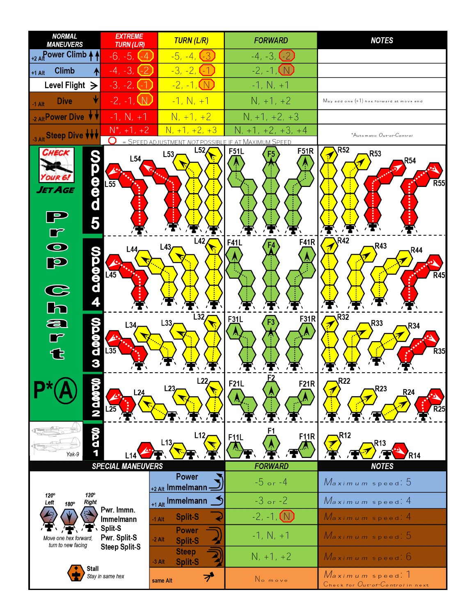| <b>NORMAL</b><br><b>MANEUVERS</b>                                                  | <b>EXTREME</b><br><b>TURN (L/R)</b>       | <b>TURN (L/R)</b>                          | <b>FORWARD</b>                                                | <b>NOTES</b>                                                   |  |  |  |  |  |
|------------------------------------------------------------------------------------|-------------------------------------------|--------------------------------------------|---------------------------------------------------------------|----------------------------------------------------------------|--|--|--|--|--|
| +2 AllPower Climb 4                                                                | -6, -5, 1<br>l - 4                        |                                            | $-4, -3, 1$<br>$-2$                                           |                                                                |  |  |  |  |  |
| <b>Climb</b><br>₳<br>$+1$ Alt                                                      | $-4, -3,$                                 | $-3, -2, -1$                               | $-2, -1,$                                                     |                                                                |  |  |  |  |  |
| Level Flight $\geq$<br>$-3, -2, 1$                                                 |                                           | <u>-2, -1, (N)</u>                         | $-1, N, +1$                                                   |                                                                |  |  |  |  |  |
| <b>Dive</b><br>$-1$ Alt                                                            | $-2, -1, \mathbb{W}$                      | $-1, N, +1$                                | $N, +1, +2$                                                   | $M$ ay add one $(+1)$ hex forward at move end                  |  |  |  |  |  |
| 2 Alt Power Dive $\forall$                                                         | $-1, N, +1$                               | $N, +1, +2$                                | $N, +1, +2, +3$                                               |                                                                |  |  |  |  |  |
| 3 Alt Steep Dive VVV                                                               | $N^*$ , +1, +2                            | $N, +1, +2, +3$                            | N<br>$+2, +3, +4$                                             | *Automatic Out-of-Control                                      |  |  |  |  |  |
| CHECK<br>e<br>d<br>d<br>AGE<br>5                                                   | 0<br>$=$ SPEED<br>L54<br>$L\overline{55}$ | L52<br>L53                                 | NOT POSSIBLE IF AT MAXIMUM SPEED<br>F <sub>51</sub> R<br>F51L | R <sub>52</sub><br>R <sub>53</sub><br><b>R54</b><br><b>R55</b> |  |  |  |  |  |
| $\overline{\bullet}$<br><b>DOOOOO</b><br>H<br>p<br>$\frac{\mathbf{C}}{\mathbf{h}}$ | L44<br>$\overline{45}$                    | L42<br>L43                                 | <b>F41R</b><br>F41L                                           | <b>R42</b><br>R43<br>R44<br>$\overline{R}$ 45                  |  |  |  |  |  |
| က္တစ္စစ္တာ က<br>a<br>$\Box$<br>€                                                   | L34<br>⇙<br>$\overline{.35}$              | L32<br>L33                                 | F31R<br>F31L                                                  | R32<br>R33<br>77<br>R34,<br><b>R35</b>                         |  |  |  |  |  |
| N 0.00                                                                             | L24                                       | L22<br>L23                                 | F21L<br><b>F21R</b>                                           | <b>R22</b><br>R23,<br><b>R24</b>                               |  |  |  |  |  |
| <b>QDD</b><br>Yak-9                                                                |                                           | L12<br>L13,                                | F1<br>F11R<br>F <sub>11</sub> L                               | <b>R12</b><br>R13<br>R14                                       |  |  |  |  |  |
|                                                                                    | <b>SPECIAL MANEUVERS</b>                  | <b>Power</b>                               | <b>FORWARD</b>                                                | <b>NOTES</b>                                                   |  |  |  |  |  |
| 120°<br>$120^\circ$                                                                |                                           | +2 Alt Immelmann -                         | $-5$ or $-4$                                                  | Maximum speed: 5                                               |  |  |  |  |  |
| Right<br>Left<br>180°                                                              | Pwr. Immn.                                | +1 Alt Immelmann                           | $-3$ or $-2$                                                  | Maximum speed: 4                                               |  |  |  |  |  |
|                                                                                    | Immelmann                                 | <b>Split-S</b><br>$-1$ Alt                 | $-2, -1, (N)$                                                 | Maximum speed 4                                                |  |  |  |  |  |
| Move one hex forward,<br>turn to new facing                                        | Split-S<br>Pwr. Split-S                   | <b>Power</b><br>$-2$ Alt<br><b>Split-S</b> | $-1, N, +1$                                                   | Maximum speed 5                                                |  |  |  |  |  |
|                                                                                    | <b>Steep Split-S</b>                      | <b>Steep</b><br><b>Split-S</b><br>$-3$ Alt | $N, +1, +2$                                                   | Maximum speed: 6                                               |  |  |  |  |  |
| Stall                                                                              | Stay in same hex                          | プ<br>same Alt                              | No move                                                       | Maximum speed. 1<br>Check for Out-of-Control in next           |  |  |  |  |  |